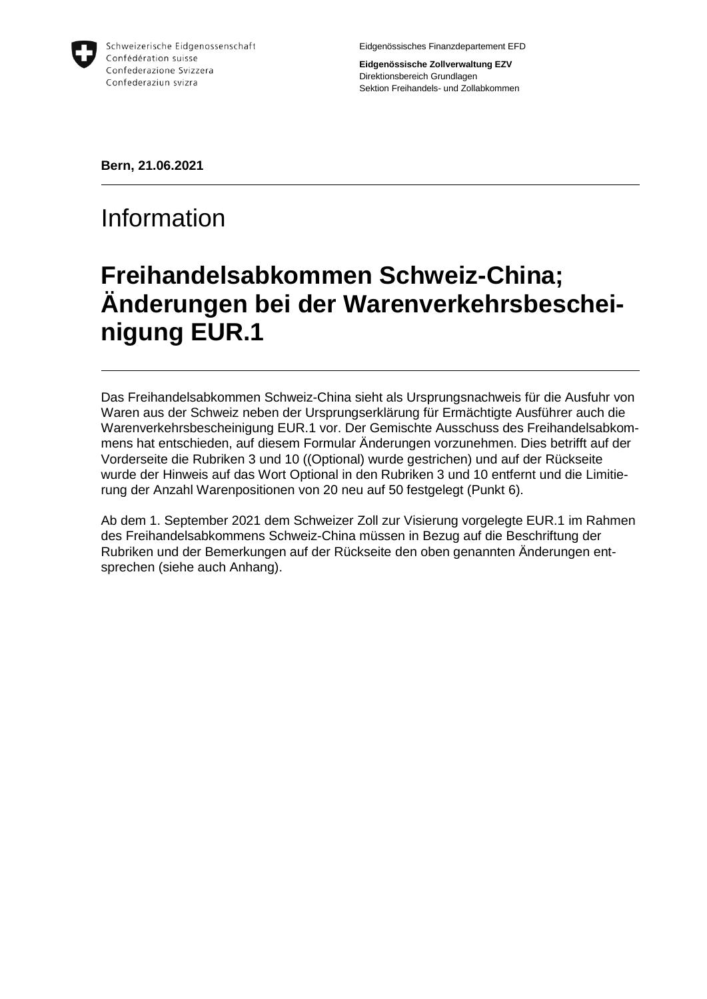

Schweizerische Eidgenossenschaft Confédération suisse Confederazione Svizzera Confederaziun svizra

Eidgenössisches Finanzdepartement EFD

**Eidgenössische Zollverwaltung EZV** Direktionsbereich Grundlagen Sektion Freihandels- und Zollabkommen

**Bern, 21.06.2021**

## Information

## **Freihandelsabkommen Schweiz-China; Änderungen bei der Warenverkehrsbescheinigung EUR.1**

Das Freihandelsabkommen Schweiz-China sieht als Ursprungsnachweis für die Ausfuhr von Waren aus der Schweiz neben der Ursprungserklärung für Ermächtigte Ausführer auch die Warenverkehrsbescheinigung EUR.1 vor. Der Gemischte Ausschuss des Freihandelsabkommens hat entschieden, auf diesem Formular Änderungen vorzunehmen. Dies betrifft auf der Vorderseite die Rubriken 3 und 10 ((Optional) wurde gestrichen) und auf der Rückseite wurde der Hinweis auf das Wort Optional in den Rubriken 3 und 10 entfernt und die Limitierung der Anzahl Warenpositionen von 20 neu auf 50 festgelegt (Punkt 6).

Ab dem 1. September 2021 dem Schweizer Zoll zur Visierung vorgelegte EUR.1 im Rahmen des Freihandelsabkommens Schweiz-China müssen in Bezug auf die Beschriftung der Rubriken und der Bemerkungen auf der Rückseite den oben genannten Änderungen entsprechen (siehe auch Anhang).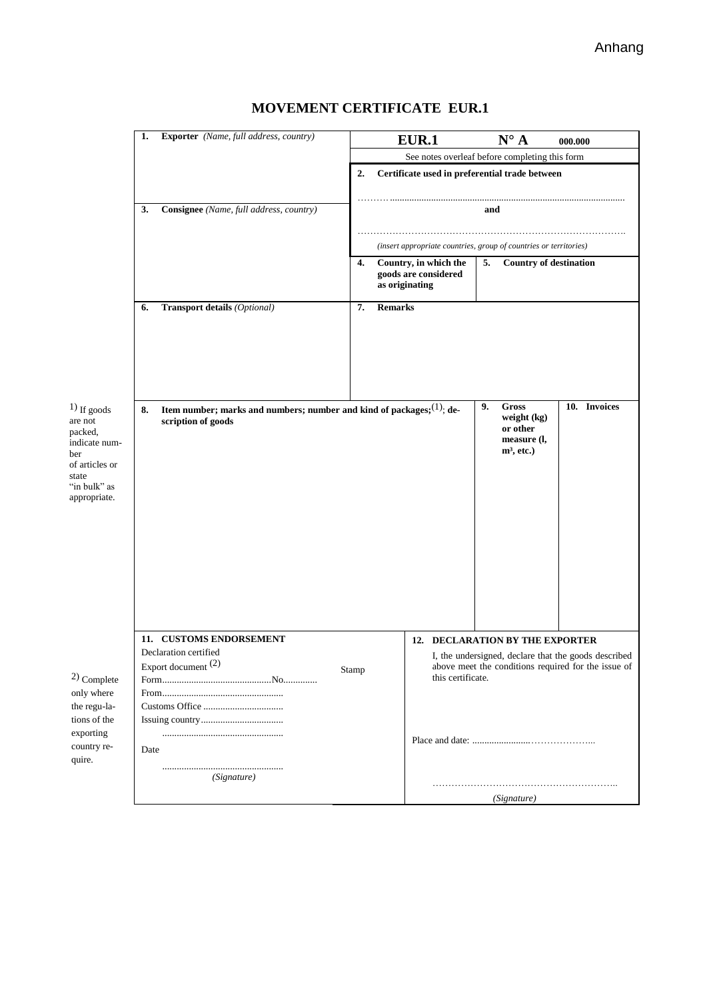|                                                                                                                         | 1.                                                      | Exporter (Name, full address, country)                                                                                                                                                   |                                                      |                                                                   | <b>EUR.1</b>                                                                                                                     | $\mathbf{N}^\circ$ A                | 000.000 |  |
|-------------------------------------------------------------------------------------------------------------------------|---------------------------------------------------------|------------------------------------------------------------------------------------------------------------------------------------------------------------------------------------------|------------------------------------------------------|-------------------------------------------------------------------|----------------------------------------------------------------------------------------------------------------------------------|-------------------------------------|---------|--|
|                                                                                                                         |                                                         |                                                                                                                                                                                          |                                                      | See notes overleaf before completing this form                    |                                                                                                                                  |                                     |         |  |
|                                                                                                                         |                                                         |                                                                                                                                                                                          | Certificate used in preferential trade between<br>2. |                                                                   |                                                                                                                                  |                                     |         |  |
|                                                                                                                         | 3.                                                      | Consignee (Name, full address, country)                                                                                                                                                  | and                                                  |                                                                   |                                                                                                                                  |                                     |         |  |
|                                                                                                                         |                                                         |                                                                                                                                                                                          |                                                      | (insert appropriate countries, group of countries or territories) |                                                                                                                                  |                                     |         |  |
|                                                                                                                         |                                                         |                                                                                                                                                                                          | 4.                                                   | as originating                                                    | Country, in which the<br>goods are considered                                                                                    | 5.<br><b>Country of destination</b> |         |  |
|                                                                                                                         | 6.                                                      | <b>Transport details (Optional)</b>                                                                                                                                                      | 7.                                                   | <b>Remarks</b>                                                    |                                                                                                                                  |                                     |         |  |
|                                                                                                                         |                                                         |                                                                                                                                                                                          |                                                      |                                                                   |                                                                                                                                  |                                     |         |  |
| $(1)$ If goods<br>are not<br>packed,<br>indicate num-<br>ber<br>of articles or<br>state<br>"in bulk" as<br>appropriate. | 8.                                                      | 10. Invoices<br>9.<br>Gross<br>Item number; marks and numbers; number and kind of packages; $(1)$ ; de-<br>weight (kg)<br>scription of goods<br>or other<br>measure (l,<br>$m^3$ , etc.) |                                                      |                                                                   |                                                                                                                                  |                                     |         |  |
|                                                                                                                         |                                                         | 11. CUSTOMS ENDORSEMENT                                                                                                                                                                  |                                                      |                                                                   |                                                                                                                                  | 12. DECLARATION BY THE EXPORTER     |         |  |
| $^{2)}$ Complete                                                                                                        | Declaration certified<br>Export document $(2)$<br>Stamp |                                                                                                                                                                                          |                                                      |                                                                   | I, the undersigned, declare that the goods described<br>above meet the conditions required for the issue of<br>this certificate. |                                     |         |  |
| only where<br>the regu-la-<br>tions of the                                                                              |                                                         |                                                                                                                                                                                          |                                                      |                                                                   |                                                                                                                                  |                                     |         |  |
| exporting<br>country re-<br>quire.                                                                                      | Date                                                    |                                                                                                                                                                                          |                                                      |                                                                   |                                                                                                                                  |                                     |         |  |
|                                                                                                                         |                                                         | (Signature)                                                                                                                                                                              |                                                      |                                                                   |                                                                                                                                  |                                     |         |  |
|                                                                                                                         |                                                         |                                                                                                                                                                                          |                                                      |                                                                   | (Signature)                                                                                                                      |                                     |         |  |
|                                                                                                                         |                                                         |                                                                                                                                                                                          |                                                      |                                                                   |                                                                                                                                  |                                     |         |  |

## **MOVEMENT CERTIFICATE EUR.1**